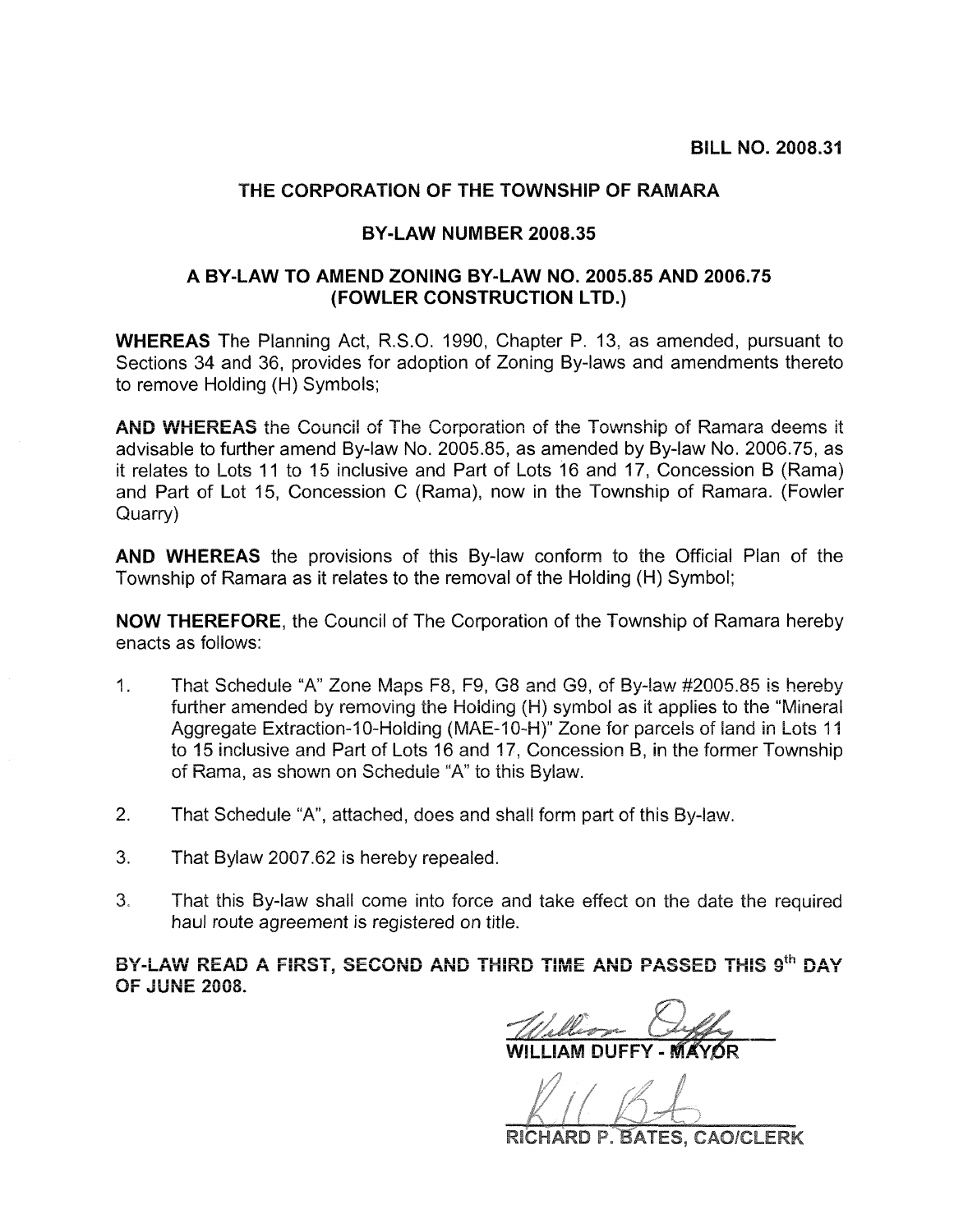## THE CORPORATION OF THE TOWNSHIP OF RAMARA

## BY-LAW NUMBER 2008.35

## A BY-LAW TO AMEND ZONING BY-LAW NO. 2005.85 AND 2006.75 (FOWLER CONSTRUCTION LTD.)

**WHEREAS** The Planning Act. R.S.O. 1990. Chapter P. 13, as amended, pursuant to Sections 34 and 36, provides for adoption of Zoning By-laws and amendments thereto to remove Holding (H) Symbols;

**AND WHEREAS** the Council of The Corporation of the Township of Ramara deems it advisable to further amend By-law No. 2005.85, as amended by By-law No. 2006.75, as it relates to Lots 11 to 15 inclusive and Part of Lots 16 and 17, Concession B (Rama) and Part of Lot 15, Concession C (Rama), now in the Township of Ramara. (Fowler Quarry)

AND WHEREAS the provisions of this By-law conform to the Official Plan of the Township of Ramara as it relates to the removal of the Holding (H) Symbol;

**NOW THEREFORE.** the Council of The Corporation of the Township of Ramara hereby enacts as follows:

- That Schedule "A" Zone Maps F8, F9, G8 and G9, of By-law #2005.85 is hereby  $1<sub>1</sub>$ further amended by removing the Holding (H) symbol as it applies to the "Mineral Aggregate Extraction-10-Holding (MAE-10-H)" Zone for parcels of land in Lots 11 to 15 inclusive and Part of Lots 16 and 17, Concession B, in the former Township of Rama, as shown on Schedule "A" to this Bylaw.
- $2.$ That Schedule "A", attached, does and shall form part of this By-law.
- $3<sub>1</sub>$ That Bylaw 2007.62 is hereby repealed.
- $3<sub>1</sub>$ That this By-law shall come into force and take effect on the date the required haul route agreement is registered on title.

BY-LAW READ A FIRST, SECOND AND THIRD TIME AND PASSED THIS 9th DAY **OF JUNE 2008.** 

RICHARD P. BATES, CAO/CLERK